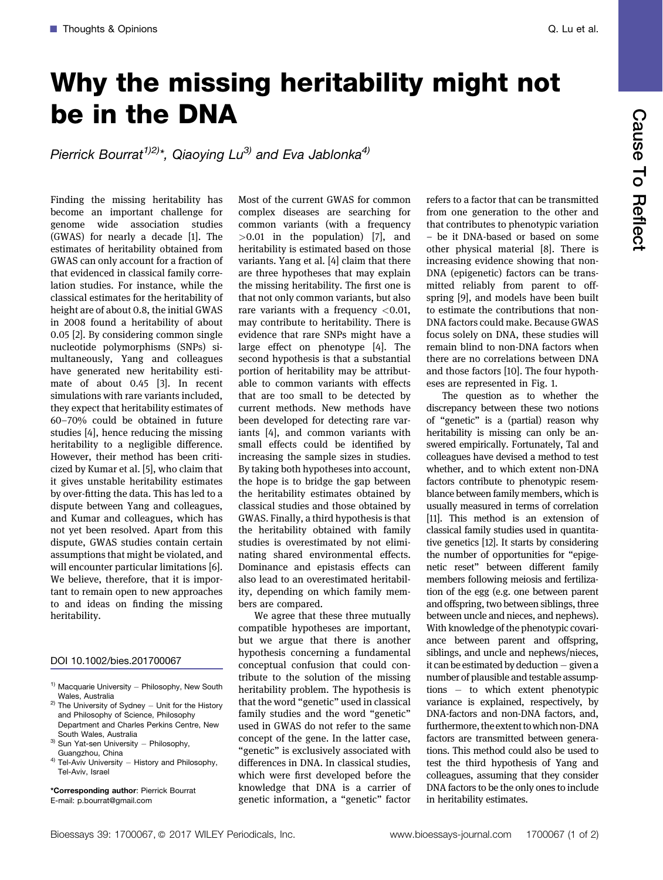## Why the missing heritability might not<br>be in the DNA  $b = 10$

Pierrick Bourrat<sup>1)2)</sup>\*, Qiaoying Lu<sup>3)</sup> and Eva Jablonka<sup>4)</sup>

Finding the missing heritability has become an important challenge for genome wide association studies (GWAS) for nearly a decade [1]. The estimates of heritability obtained from GWAS can only account for a fraction of that evidenced in classical family correlation studies. For instance, while the classical estimates for the heritability of height are of about 0.8, the initial GWAS in 2008 found a heritability of about 0.05 [2]. By considering common single nucleotide polymorphisms (SNPs) simultaneously, Yang and colleagues have generated new heritability estimate of about 0.45 [3]. In recent simulations with rare variants included, they expect that heritability estimates of 60–70% could be obtained in future studies [4], hence reducing the missing heritability to a negligible difference. However, their method has been criticized by Kumar et al. [5], who claim that it gives unstable heritability estimates by over-fitting the data. This has led to a dispute between Yang and colleagues, and Kumar and colleagues, which has not yet been resolved. Apart from this dispute, GWAS studies contain certain assumptions that might be violated, and will encounter particular limitations [6]. We believe, therefore, that it is important to remain open to new approaches to and ideas on finding the missing heritability.

## DOI 10.1002/bies.201700067

- <sup>1)</sup> Macquarie University Philosophy, New South Wales Australia
- $^{2)}$  The University of Sydney  $-$  Unit for the History and Philosophy of Science, Philosophy Department and Charles Perkins Centre, New
- <sup>3)</sup> Sun Yat-sen University  $-$  Philosophy, Guangzhou, China
- $4)$  Tel-Aviv University  $-$  History and Philosophy, Tel-Aviv, Israel

\*Corresponding author: Pierrick Bourrat E-mail: p.bourrat@gmail.com

Most of the current GWAS for common complex diseases are searching for common variants (with a frequency >0.01 in the population) [7], and heritability is estimated based on those variants. Yang et al. [4] claim that there are three hypotheses that may explain the missing heritability. The first one is that not only common variants, but also rare variants with a frequency <0.01, may contribute to heritability. There is evidence that rare SNPs might have a large effect on phenotype [4]. The second hypothesis is that a substantial portion of heritability may be attributable to common variants with effects that are too small to be detected by current methods. New methods have been developed for detecting rare variants [4], and common variants with small effects could be identified by increasing the sample sizes in studies. By taking both hypotheses into account, the hope is to bridge the gap between the heritability estimates obtained by classical studies and those obtained by GWAS. Finally, a third hypothesis is that the heritability obtained with family studies is overestimated by not eliminating shared environmental effects. Dominance and epistasis effects can also lead to an overestimated heritability, depending on which family members are compared.

We agree that these three mutually compatible hypotheses are important, but we argue that there is another hypothesis concerning a fundamental conceptual confusion that could contribute to the solution of the missing heritability problem. The hypothesis is that the word "genetic" used in classical family studies and the word "genetic" used in GWAS do not refer to the same concept of the gene. In the latter case, "genetic" is exclusively associated with differences in DNA. In classical studies, which were first developed before the knowledge that DNA is a carrier of genetic information, a "genetic" factor

refers to a factor that can be transmitted from one generation to the other and that contributes to phenotypic variation – be it DNA-based or based on some other physical material [8]. There is increasing evidence showing that non-DNA (epigenetic) factors can be transmitted reliably from parent to offspring [9], and models have been built to estimate the contributions that non-DNA factors could make. Because GWAS focus solely on DNA, these studies will remain blind to non-DNA factors when there are no correlations between DNA and those factors [10]. The four hypotheses are represented in Fig. 1.

The question as to whether the discrepancy between these two notions of "genetic" is a (partial) reason why heritability is missing can only be answered empirically. Fortunately, Tal and colleagues have devised a method to test whether, and to which extent non-DNA factors contribute to phenotypic resemblance between family members, which is usually measured in terms of correlation [11]. This method is an extension of classical family studies used in quantitative genetics [12]. It starts by considering the number of opportunities for "epigenetic reset" between different family members following meiosis and fertilization of the egg (e.g. one between parent and offspring, two between siblings, three between uncle and nieces, and nephews). With knowledge of the phenotypic covariance between parent and offspring, siblings, and uncle and nephews/nieces, it can be estimated by deduction  $-$  given a number of plausible and testable assump $tions - to which extent phenotype$ variance is explained, respectively, by DNA-factors and non-DNA factors, and, furthermore, the extent to which non-DNA factors are transmitted between generations. This method could also be used to test the third hypothesis of Yang and colleagues, assuming that they consider DNA factors to be the only ones to include in heritability estimates.